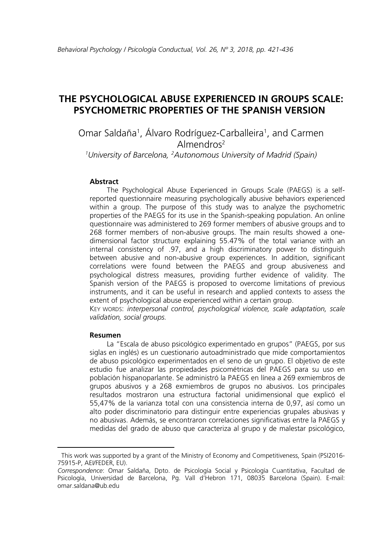# **THE PSYCHOLOGICAL ABUSE EXPERIENCED IN GROUPS SCALE: PSYCHOMETRIC PROPERTIES OF THE SPANISH VERSION[1](#page-0-0)**

Omar Saldaña<sup>1</sup>, Alvaro Rodríguez-Carballeira<sup>1</sup>, and Carmen Almendros<sup>2</sup>

*1 University of Barcelona, 2Autonomous University of Madrid (Spain)*

#### **Abstract**

The Psychological Abuse Experienced in Groups Scale (PAEGS) is a selfreported questionnaire measuring psychologically abusive behaviors experienced within a group. The purpose of this study was to analyze the psychometric properties of the PAEGS for its use in the Spanish-speaking population. An online questionnaire was administered to 269 former members of abusive groups and to 268 former members of non-abusive groups. The main results showed a onedimensional factor structure explaining 55.47% of the total variance with an internal consistency of .97, and a high discriminatory power to distinguish between abusive and non-abusive group experiences. In addition, significant correlations were found between the PAEGS and group abusiveness and psychological distress measures, providing further evidence of validity. The Spanish version of the PAEGS is proposed to overcome limitations of previous instruments, and it can be useful in research and applied contexts to assess the extent of psychological abuse experienced within a certain group.

KEY WORDS: *interpersonal control, psychological violence, scale adaptation, scale validation, social groups.* 

#### **Resumen**

 $\overline{\phantom{a}}$ 

La "Escala de abuso psicológico experimentado en grupos" (PAEGS, por sus siglas en inglés) es un cuestionario autoadministrado que mide comportamientos de abuso psicológico experimentados en el seno de un grupo. El objetivo de este estudio fue analizar las propiedades psicométricas del PAEGS para su uso en población hispanoparlante. Se administró la PAEGS en línea a 269 exmiembros de grupos abusivos y a 268 exmiembros de grupos no abusivos. Los principales resultados mostraron una estructura factorial unidimensional que explicó el 55,47% de la varianza total con una consistencia interna de 0,97, así como un alto poder discriminatorio para distinguir entre experiencias grupales abusivas y no abusivas. Además, se encontraron correlaciones significativas entre la PAEGS y medidas del grado de abuso que caracteriza al grupo y de malestar psicológico,

<span id="page-0-0"></span>This work was supported by a grant of the Ministry of Economy and Competitiveness, Spain (PSI2016- 75915-P, AEI/FEDER, EU).

*Correspondence*: Omar Saldaña, Dpto. de Psicología Social y Psicología Cuantitativa, Facultad de Psicología, Universidad de Barcelona, Pg. Vall d'Hebron 171, 08035 Barcelona (Spain). E-mail: omar.saldana@ub.edu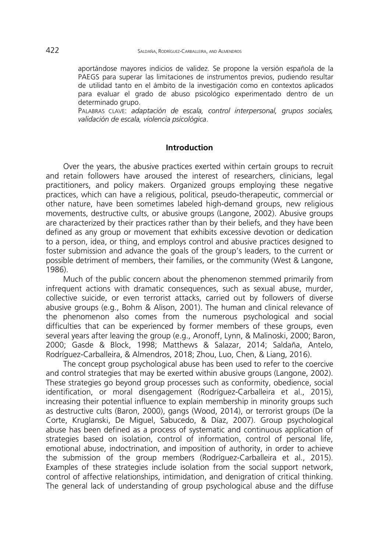aportándose mayores indicios de validez. Se propone la versión española de la PAEGS para superar las limitaciones de instrumentos previos, pudiendo resultar de utilidad tanto en el ámbito de la investigación como en contextos aplicados para evaluar el grado de abuso psicológico experimentado dentro de un determinado grupo.

PALABRAS CLAVE: *adaptación de escala, control interpersonal, grupos sociales, validación de escala, violencia psicológica*.

## **Introduction**

Over the years, the abusive practices exerted within certain groups to recruit and retain followers have aroused the interest of researchers, clinicians, legal practitioners, and policy makers. Organized groups employing these negative practices, which can have a religious, political, pseudo-therapeutic, commercial or other nature, have been sometimes labeled high-demand groups, new religious movements, destructive cults, or abusive groups (Langone, 2002). Abusive groups are characterized by their practices rather than by their beliefs, and they have been defined as any group or movement that exhibits excessive devotion or dedication to a person, idea, or thing, and employs control and abusive practices designed to foster submission and advance the goals of the group's leaders, to the current or possible detriment of members, their families, or the community (West & Langone, 1986).

Much of the public concern about the phenomenon stemmed primarily from infrequent actions with dramatic consequences, such as sexual abuse, murder, collective suicide, or even terrorist attacks, carried out by followers of diverse abusive groups (e.g., Bohm & Alison, 2001). The human and clinical relevance of the phenomenon also comes from the numerous psychological and social difficulties that can be experienced by former members of these groups, even several years after leaving the group (e.g., Aronoff, Lynn, & Malinoski, 2000; Baron, 2000; Gasde & Block, 1998; Matthews & Salazar, 2014; Saldaña, Antelo, Rodríguez-Carballeira, & Almendros, 2018; Zhou, Luo, Chen, & Liang, 2016).

The concept group psychological abuse has been used to refer to the coercive and control strategies that may be exerted within abusive groups (Langone, 2002). These strategies go beyond group processes such as conformity, obedience, social identification, or moral disengagement (Rodríguez-Carballeira et al., 2015), increasing their potential influence to explain membership in minority groups such as destructive cults (Baron, 2000), gangs (Wood, 2014), or terrorist groups (De la Corte, Kruglanski, De Miguel, Sabucedo, & Díaz, 2007). Group psychological abuse has been defined as a process of systematic and continuous application of strategies based on isolation, control of information, control of personal life, emotional abuse, indoctrination, and imposition of authority, in order to achieve the submission of the group members (Rodríguez-Carballeira et al., 2015). Examples of these strategies include isolation from the social support network, control of affective relationships, intimidation, and denigration of critical thinking. The general lack of understanding of group psychological abuse and the diffuse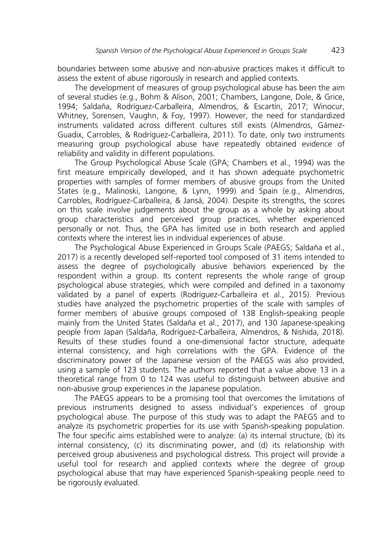boundaries between some abusive and non-abusive practices makes it difficult to assess the extent of abuse rigorously in research and applied contexts.

The development of measures of group psychological abuse has been the aim of several studies (e.g., Bohm & Alison, 2001; Chambers, Langone, Dole, & Grice, 1994; Saldaña, Rodríguez-Carballeira, Almendros, & Escartín, 2017; Winocur, Whitney, Sorensen, Vaughn, & Foy, 1997). However, the need for standardized instruments validated across different cultures still exists (Almendros, Gámez-Guadix, Carrobles, & Rodríguez-Carballeira, 2011). To date, only two instruments measuring group psychological abuse have repeatedly obtained evidence of reliability and validity in different populations.

The Group Psychological Abuse Scale (GPA; Chambers et al., 1994) was the first measure empirically developed, and it has shown adequate psychometric properties with samples of former members of abusive groups from the United States (e.g., Malinoski, Langone, & Lynn, 1999) and Spain (e.g., Almendros, Carrobles, Rodríguez-Carballeira, & Jansá, 2004). Despite its strengths, the scores on this scale involve judgements about the group as a whole by asking about group characteristics and perceived group practices, whether experienced personally or not. Thus, the GPA has limited use in both research and applied contexts where the interest lies in individual experiences of abuse.

The Psychological Abuse Experienced in Groups Scale (PAEGS; Saldaña et al., 2017) is a recently developed self-reported tool composed of 31 items intended to assess the degree of psychologically abusive behaviors experienced by the respondent within a group. Its content represents the whole range of group psychological abuse strategies, which were compiled and defined in a taxonomy validated by a panel of experts (Rodríguez-Carballeira et al., 2015). Previous studies have analyzed the psychometric properties of the scale with samples of former members of abusive groups composed of 138 English-speaking people mainly from the United States (Saldaña et al., 2017), and 130 Japanese-speaking people from Japan (Saldaña, Rodríguez-Carballeira, Almendros, & Nishida, 2018). Results of these studies found a one-dimensional factor structure, adequate internal consistency, and high correlations with the GPA. Evidence of the discriminatory power of the Japanese version of the PAEGS was also provided, using a sample of 123 students. The authors reported that a value above 13 in a theoretical range from 0 to 124 was useful to distinguish between abusive and non-abusive group experiences in the Japanese population.

The PAEGS appears to be a promising tool that overcomes the limitations of previous instruments designed to assess individual's experiences of group psychological abuse. The purpose of this study was to adapt the PAEGS and to analyze its psychometric properties for its use with Spanish-speaking population. The four specific aims established were to analyze: (a) its internal structure, (b) its internal consistency, (c) its discriminating power, and (d) its relationship with perceived group abusiveness and psychological distress. This project will provide a useful tool for research and applied contexts where the degree of group psychological abuse that may have experienced Spanish-speaking people need to be rigorously evaluated.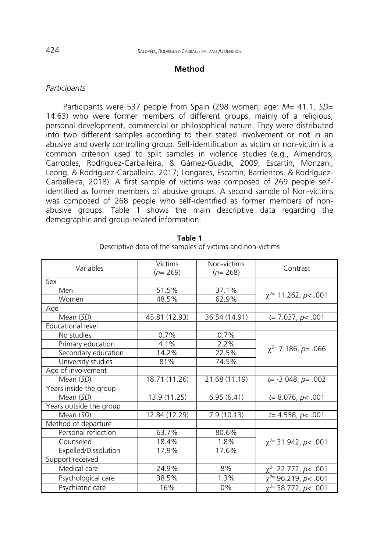#### **Method**

## *Participants*

Participants were 537 people from Spain (298 women; age: *M*= 41.1, *SD*= 14.63) who were former members of different groups, mainly of a religious, personal development, commercial or philosophical nature. They were distributed into two different samples according to their stated involvement or not in an abusive and overly controlling group. Self-identification as victim or non-victim is a common criterion used to split samples in violence studies (e.g., Almendros, Carrobles, Rodríguez-Carballeira, & Gámez-Guadix, 2009; Escartín, Monzani, Leong, & Rodríguez-Carballeira, 2017; Longares, Escartín, Barrientos, & Rodríguez-Carballeira, 2018). A first sample of victims was composed of 269 people selfidentified as former members of abusive groups. A second sample of Non-victims was composed of 268 people who self-identified as former members of nonabusive groups. Table 1 shows the main descriptive data regarding the demographic and group-related information.

| Variables                | <b>Victims</b><br>$(n=269)$ | Non-victims<br>$(n=268)$ | Contrast                     |
|--------------------------|-----------------------------|--------------------------|------------------------------|
| Sex                      |                             |                          |                              |
| Men                      | 51.5%                       | 37.1%                    |                              |
| Women                    | 48.5%                       | 62.9%                    | $\chi^{2}$ 11.262, p< .001   |
| Age                      |                             |                          |                              |
| Mean (SD)                | 45.81 (12.93)               | 36.54 (14.91)            | $t= 7.037, p < .001$         |
| <b>Educational level</b> |                             |                          |                              |
| No studies               | 0.7%                        | 0.7%                     |                              |
| Primary education        | 4.1%                        | 2.2%                     |                              |
| Secondary education      | 14.2%                       | 22.5%                    | $\chi^{2}$ 7.186, p = .066   |
| University studies       | 81%                         | 74.5%                    |                              |
| Age of involvement       |                             |                          |                              |
| Mean (SD)                | 18.71 (11.26)               | 21.68 (11.19)            | $t = -3.048$ , $p = .002$    |
| Years inside the group   |                             |                          |                              |
| Mean (SD)                | 13.9 (11.25)                | 6.95(6.41)               | $t=8.076$ , $p<.001$         |
| Years outside the group  |                             |                          |                              |
| Mean (SD)                | 12.84 (12.29)               | 7.9(10.13)               | $t=4.558, p<.001$            |
| Method of departure      |                             |                          |                              |
| Personal reflection      | 63.7%                       | 80.6%                    |                              |
| Counseled                | 18.4%                       | 1.8%                     | $\chi^{2}$ 31.942, p < .001  |
| Expelled/Dissolution     | 17.9%                       | 17.6%                    |                              |
| Support received         |                             |                          |                              |
| Medical care             | 24.9%                       | 8%                       | $\chi^{2}$ 22.772, p< .001   |
| Psychological care       | 38.5%                       | 1.3%                     | $\chi^{2}$ = 96.219, p< .001 |
| Psychiatric care         | 16%                         | $0\%$                    | $\chi^{2}$ 38.772, p< .001   |

**Table 1** Descriptive data of the samples of victims and non-victims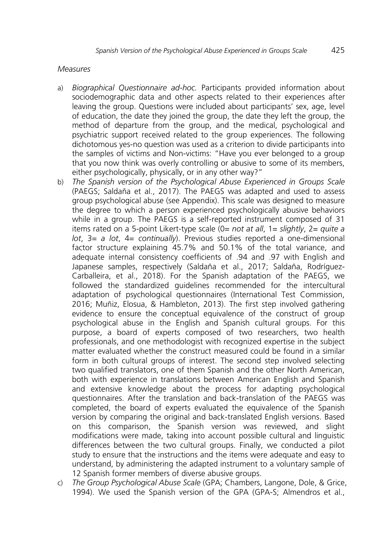## *Measures*

- a) *Biographical Questionnaire ad-hoc.* Participants provided information about sociodemographic data and other aspects related to their experiences after leaving the group. Questions were included about participants' sex, age, level of education, the date they joined the group, the date they left the group, the method of departure from the group, and the medical, psychological and psychiatric support received related to the group experiences. The following dichotomous yes-no question was used as a criterion to divide participants into the samples of victims and Non-victims: "Have you ever belonged to a group that you now think was overly controlling or abusive to some of its members, either psychologically, physically, or in any other way?"
- b) *The Spanish version of the Psychological Abuse Experienced in Groups Scale* (PAEGS; Saldaña et al., 2017). The PAEGS was adapted and used to assess group psychological abuse (see Appendix). This scale was designed to measure the degree to which a person experienced psychologically abusive behaviors while in a group. The PAEGS is a self-reported instrument composed of 31 items rated on a 5-point Likert-type scale (0= *not at all*, 1= *slightly*, 2= *quite a lot*, 3= *a lot*, 4= *continually*). Previous studies reported a one-dimensional factor structure explaining 45.7% and 50.1% of the total variance, and adequate internal consistency coefficients of .94 and .97 with English and Japanese samples, respectively (Saldaña et al., 2017; Saldaña, Rodríguez-Carballeira, et al., 2018). For the Spanish adaptation of the PAEGS, we followed the standardized guidelines recommended for the intercultural adaptation of psychological questionnaires (International Test Commission, 2016; Muñiz, Elosua, & Hambleton, 2013). The first step involved gathering evidence to ensure the conceptual equivalence of the construct of group psychological abuse in the English and Spanish cultural groups. For this purpose, a board of experts composed of two researchers, two health professionals, and one methodologist with recognized expertise in the subject matter evaluated whether the construct measured could be found in a similar form in both cultural groups of interest. The second step involved selecting two qualified translators, one of them Spanish and the other North American, both with experience in translations between American English and Spanish and extensive knowledge about the process for adapting psychological questionnaires. After the translation and back-translation of the PAEGS was completed, the board of experts evaluated the equivalence of the Spanish version by comparing the original and back-translated English versions. Based on this comparison, the Spanish version was reviewed, and slight modifications were made, taking into account possible cultural and linguistic differences between the two cultural groups. Finally, we conducted a pilot study to ensure that the instructions and the items were adequate and easy to understand, by administering the adapted instrument to a voluntary sample of 12 Spanish former members of diverse abusive groups.
- c) *The Group Psychological Abuse Scale* (GPA; Chambers, Langone, Dole, & Grice, 1994). We used the Spanish version of the GPA (GPA-S; Almendros et al.,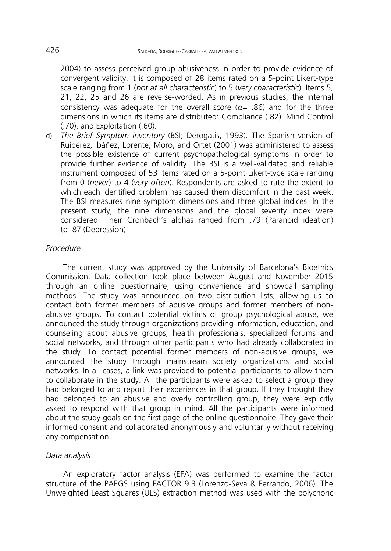2004) to assess perceived group abusiveness in order to provide evidence of convergent validity. It is composed of 28 items rated on a 5-point Likert-type scale ranging from 1 (*not at all characteristic*) to 5 (*very characteristic*). Items 5, 21, 22, 25 and 26 are reverse-worded. As in previous studies, the internal consistency was adequate for the overall score ( $\alpha$ = .86) and for the three dimensions in which its items are distributed: Compliance (.82), Mind Control (.70), and Exploitation (.60).

d) *The Brief Symptom Inventory* (BSI; Derogatis, 1993). The Spanish version of Ruipérez, Ibáñez, Lorente, Moro, and Ortet (2001) was administered to assess the possible existence of current psychopathological symptoms in order to provide further evidence of validity. The BSI is a well-validated and reliable instrument composed of 53 items rated on a 5-point Likert-type scale ranging from 0 (*never*) to 4 (*very often*). Respondents are asked to rate the extent to which each identified problem has caused them discomfort in the past week. The BSI measures nine symptom dimensions and three global indices. In the present study, the nine dimensions and the global severity index were considered. Their Cronbach's alphas ranged from .79 (Paranoid ideation) to .87 (Depression).

### *Procedure*

The current study was approved by the University of Barcelona's Bioethics Commission. Data collection took place between August and November 2015 through an online questionnaire, using convenience and snowball sampling methods. The study was announced on two distribution lists, allowing us to contact both former members of abusive groups and former members of nonabusive groups. To contact potential victims of group psychological abuse, we announced the study through organizations providing information, education, and counseling about abusive groups, health professionals, specialized forums and social networks, and through other participants who had already collaborated in the study. To contact potential former members of non-abusive groups, we announced the study through mainstream society organizations and social networks. In all cases, a link was provided to potential participants to allow them to collaborate in the study. All the participants were asked to select a group they had belonged to and report their experiences in that group. If they thought they had belonged to an abusive and overly controlling group, they were explicitly asked to respond with that group in mind. All the participants were informed about the study goals on the first page of the online questionnaire. They gave their informed consent and collaborated anonymously and voluntarily without receiving any compensation.

### *Data analysis*

An exploratory factor analysis (EFA) was performed to examine the factor structure of the PAEGS using FACTOR 9.3 (Lorenzo-Seva & Ferrando, 2006). The Unweighted Least Squares (ULS) extraction method was used with the polychoric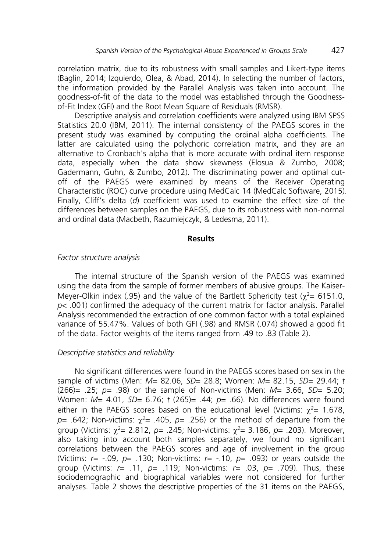correlation matrix, due to its robustness with small samples and Likert-type items (Baglin, 2014; Izquierdo, Olea, & Abad, 2014). In selecting the number of factors, the information provided by the Parallel Analysis was taken into account. The goodness-of-fit of the data to the model was established through the Goodnessof-Fit Index (GFI) and the Root Mean Square of Residuals (RMSR).

Descriptive analysis and correlation coefficients were analyzed using IBM SPSS Statistics 20.0 (IBM, 2011). The internal consistency of the PAEGS scores in the present study was examined by computing the ordinal alpha coefficients. The latter are calculated using the polychoric correlation matrix, and they are an alternative to Cronbach's alpha that is more accurate with ordinal item response data, especially when the data show skewness (Elosua & Zumbo, 2008; Gadermann, Guhn, & Zumbo, 2012). The discriminating power and optimal cutoff of the PAEGS were examined by means of the Receiver Operating Characteristic (ROC) curve procedure using MedCalc 14 (MedCalc Software, 2015). Finally, Cliff's delta (*d*) coefficient was used to examine the effect size of the differences between samples on the PAEGS, due to its robustness with non-normal and ordinal data (Macbeth, Razumiejczyk, & Ledesma, 2011).

#### **Results**

### *Factor structure analysis*

The internal structure of the Spanish version of the PAEGS was examined using the data from the sample of former members of abusive groups. The Kaiser-Meyer-Olkin index (.95) and the value of the Bartlett Sphericity test ( $\chi^2$  = 6151.0, *p*< .001) confirmed the adequacy of the current matrix for factor analysis. Parallel Analysis recommended the extraction of one common factor with a total explained variance of 55.47%. Values of both GFI (.98) and RMSR (.074) showed a good fit of the data. Factor weights of the items ranged from .49 to .83 (Table 2).

### *Descriptive statistics and reliability*

No significant differences were found in the PAEGS scores based on sex in the sample of victims (Men: *M*= 82.06, *SD*= 28.8; Women: *M*= 82.15, *SD*= 29.44; *t*  (266)= .25; *p=* .98) or the sample of Non-victims (Men: *M*= 3.66, *SD*= 5.20; Women: *M*= 4.01, *SD*= 6.76; *t* (265)= .44; *p=* .66). No differences were found either in the PAEGS scores based on the educational level (Victims:  $\chi^2$ = 1.678, *p*= .642; Non-victims: χ*<sup>2</sup>* = .405, *p*= .256) or the method of departure from the group (Victims: χ*<sup>2</sup>* = 2.812, *p*= .245; Non-victims: χ*<sup>2</sup>* = 3.186, *p*= .203). Moreover, also taking into account both samples separately, we found no significant correlations between the PAEGS scores and age of involvement in the group (Victims: *r*= -.09, *p*= .130; Non-victims: *r*= -.10, *p*= .093) or years outside the group (Victims: *r*= .11, *p*= .119; Non-victims: *r*= .03, *p*= .709). Thus, these sociodemographic and biographical variables were not considered for further analyses. Table 2 shows the descriptive properties of the 31 items on the PAEGS,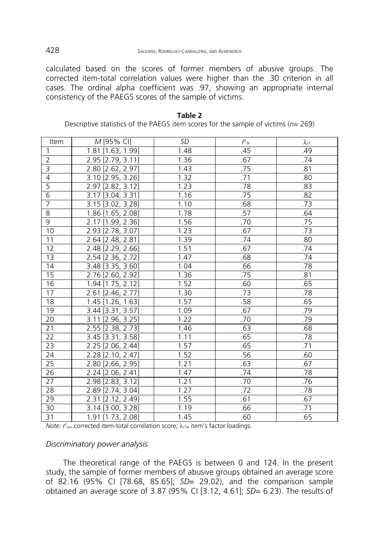calculated based on the scores of former members of abusive groups. The corrected item-total correlation values were higher than the .30 criterion in all cases. The ordinal alpha coefficient was .97, showing an appropriate internal consistency of the PAEGS scores of the sample of victims.

| Item            | M [95% CI]                 | <b>SD</b> | $r_{\rm ix}$ | $\lambda_{i1}$ |
|-----------------|----------------------------|-----------|--------------|----------------|
| $\mathbf{1}$    | 1.81 [1.63, 1.99]          | 1.48      | .45          | .49            |
| $\overline{2}$  | 2.95 [2.79, 3.11]          | 1.36      | .67          | .74            |
| $\overline{3}$  | 2.80 [2.62, 2.97]          | 1.43      | .75          | .81            |
| 4               | 3.10 [2.95, 3.26]          | 1.32      | .71          | .80            |
| $\overline{5}$  | 2.97 [2.82, 3.12]          | 1.23      | .78          | .83            |
| $\overline{6}$  | 3.17 [3.04, 3.31]          | 1.16      | .75          | .82            |
| $\overline{7}$  | $3.15$ [ $3.02$ , $3.28$ ] | 1.10      | .68          | .73            |
| 8               | 1.86 [1.65, 2.08]          | 1.78      | .57          | .64            |
| 9               | 2.17 [1.99, 2.36]          | 1.56      | .70          | .75            |
| 10              | 2.93 [2.78, 3.07]          | 1.23      | .67          | .73            |
| 11              | 2.64 [2.48, 2.81]          | 1.39      | .74          | .80            |
| 12              | 2.48 [2.29, 2.66]          | 1.51      | .67          | .74            |
| 13              | $2.54$ [2.36, 2.72]        | 1.47      | .68          | .74            |
| 14              | 3.48 [3.35, 3.60]          | 1.04      | .66          | .78            |
| 15              | 2.76 [2.60, 2.92]          | 1.36      | .75          | .81            |
| 16              | $1.94$ [1.75, 2.12]        | 1.52      | .60          | .65            |
| 17              | 2.61 [2.46, 2.77]          | 1.30      | .73          | .78            |
| 18              | 1.45 [1.26, 1.63]          | 1.57      | .58          | .65            |
| 19              | $3.44$ [ $3.31$ , $3.57$ ] | 1.09      | .67          | .79            |
| 20              | 3.11 [2.96, 3.25]          | 1.22      | .70          | .79            |
| 21              | 2.55 [2.38, 2.73]          | 1.46      | .63          | .68            |
| $\overline{22}$ | 3.45 [3.31, 3.58]          | 1.11      | .65          | .78            |
| 23              | $2.25$ [2.06, 2.44]        | 1.57      | .65          | .71            |
| 24              | 2.28 [2.10, 2.47]          | 1.52      | .56          | .60            |
| 25              | 2.80 [2.66, 2.95]          | 1.21      | .63          | .67            |
| 26              | $2.24$ [2.06, 2.41]        | 1.47      | .74          | .78            |
| 27              | 2.98 [2.83, 3.12]          | 1.21      | .70          | .76            |
| 28              | 2.89 [2.74, 3.04]          | 1.27      | .72          | .78            |
| 29              | 2.31 [2.12, 2.49]          | 1.55      | .61          | .67            |
| 30              | 3.14 [3.00, 3.28]          | 1.19      | .66          | .71            |
| 31              | 1.91 [1.73, 2.08]          | 1.45      | .60          | .65            |

**Table 2** Descriptive statistics of the PAEGS item scores for the sample of victims (*n*= 269)

*Note: r c* ix= corrected item-total correlation score; λ*i1***<sup>=</sup>** item's factor loadings.

## *Discriminatory power analysis*

The theoretical range of the PAEGS is between 0 and 124. In the present study, the sample of former members of abusive groups obtained an average score of 82.16 (95% CI [78.68, 85.65]; *SD*= 29.02), and the comparison sample obtained an average score of 3.87 (95% CI [3.12, 4.61]; *SD*= 6.23). The results of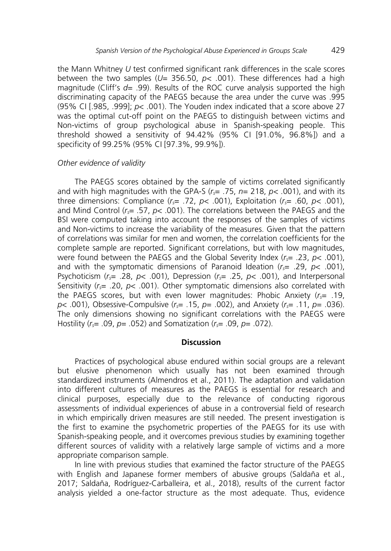the Mann Whitney *U* test confirmed significant rank differences in the scale scores between the two samples ( $U=$  356.50,  $p<$  001). These differences had a high magnitude (Cliff's *d*= .99). Results of the ROC curve analysis supported the high discriminating capacity of the PAEGS because the area under the curve was .995 (95% CI [.985, .999]; *p*< .001). The Youden index indicated that a score above 27 was the optimal cut-off point on the PAEGS to distinguish between victims and Non-victims of group psychological abuse in Spanish-speaking people. This threshold showed a sensitivity of 94.42% (95% CI [91.0%, 96.8%]) and a specificity of 99.25% (95% CI [97.3%, 99.9%]).

## *Other evidence of validity*

The PAEGS scores obtained by the sample of victims correlated significantly and with high magnitudes with the GPA-S  $(r<sub>5</sub>= .75, n= 218, p<sub>5</sub>$ .001), and with its three dimensions: Compliance  $(r<sub>s</sub>= .72, p< .001)$ , Exploitation  $(r<sub>s</sub>= .60, p< .001)$ , and Mind Control (*rs*= .57, *p<* .001). The correlations between the PAEGS and the BSI were computed taking into account the responses of the samples of victims and Non-victims to increase the variability of the measures. Given that the pattern of correlations was similar for men and women, the correlation coefficients for the complete sample are reported. Significant correlations, but with low magnitudes, were found between the PAEGS and the Global Severity Index (*rs*= .23, *p*< .001), and with the symptomatic dimensions of Paranoid Ideation (*rs*= .29, *p*< .001), Psychoticism (*rs*= .28, *p*< .001), Depression (*rs*= .25, *p*< .001), and Interpersonal Sensitivity  $(r<sub>5</sub>= .20, p< .001)$ . Other symptomatic dimensions also correlated with the PAEGS scores, but with even lower magnitudes: Phobic Anxiety (*rs*= .19, *p*< .001), Obsessive-Compulsive (*rs*= .15, *p*= .002), and Anxiety (*rs*= .11, *p*= .036). The only dimensions showing no significant correlations with the PAEGS were Hostility (*rs*= .09, *p*= .052) and Somatization (*rs*= .09, *p*= .072).

## **Discussion**

Practices of psychological abuse endured within social groups are a relevant but elusive phenomenon which usually has not been examined through standardized instruments (Almendros et al., 2011). The adaptation and validation into different cultures of measures as the PAEGS is essential for research and clinical purposes, especially due to the relevance of conducting rigorous assessments of individual experiences of abuse in a controversial field of research in which empirically driven measures are still needed. The present investigation is the first to examine the psychometric properties of the PAEGS for its use with Spanish-speaking people, and it overcomes previous studies by examining together different sources of validity with a relatively large sample of victims and a more appropriate comparison sample.

In line with previous studies that examined the factor structure of the PAEGS with English and Japanese former members of abusive groups (Saldaña et al., 2017; Saldaña, Rodríguez-Carballeira, et al., 2018), results of the current factor analysis yielded a one-factor structure as the most adequate. Thus, evidence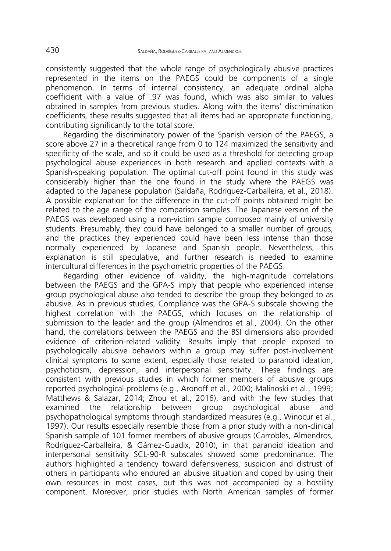consistently suggested that the whole range of psychologically abusive practices represented in the items on the PAEGS could be components of a single phenomenon. In terms of internal consistency, an adequate ordinal alpha coefficient with a value of .97 was found, which was also similar to values obtained in samples from previous studies. Along with the items' discrimination coefficients, these results suggested that all items had an appropriate functioning, contributing significantly to the total score.

Regarding the discriminatory power of the Spanish version of the PAEGS, a score above 27 in a theoretical range from 0 to 124 maximized the sensitivity and specificity of the scale, and so it could be used as a threshold for detecting group psychological abuse experiences in both research and applied contexts with a Spanish-speaking population. The optimal cut-off point found in this study was considerably higher than the one found in the study where the PAEGS was adapted to the Japanese population (Saldaña, Rodríguez-Carballeira, et al., 2018). A possible explanation for the difference in the cut-off points obtained might be related to the age range of the comparison samples. The Japanese version of the PAEGS was developed using a non-victim sample composed mainly of university students. Presumably, they could have belonged to a smaller number of groups, and the practices they experienced could have been less intense than those normally experienced by Japanese and Spanish people. Nevertheless, this explanation is still speculative, and further research is needed to examine intercultural differences in the psychometric properties of the PAEGS.

Regarding other evidence of validity, the high-magnitude correlations between the PAEGS and the GPA-S imply that people who experienced intense group psychological abuse also tended to describe the group they belonged to as abusive. As in previous studies, Compliance was the GPA-S subscale showing the highest correlation with the PAEGS, which focuses on the relationship of submission to the leader and the group (Almendros et al., 2004). On the other hand, the correlations between the PAEGS and the BSI dimensions also provided evidence of criterion-related validity. Results imply that people exposed to psychologically abusive behaviors within a group may suffer post-involvement clinical symptoms to some extent, especially those related to paranoid ideation, psychoticism, depression, and interpersonal sensitivity. These findings are consistent with previous studies in which former members of abusive groups reported psychological problems (e.g., Aronoff et al., 2000; Malinoski et al., 1999; Matthews & Salazar, 2014; Zhou et al., 2016), and with the few studies that examined the relationship between group psychological abuse and psychopathological symptoms through standardized measures (e.g., Winocur et al., 1997). Our results especially resemble those from a prior study with a non-clinical Spanish sample of 101 former members of abusive groups (Carrobles, Almendros, Rodríguez-Carballeira, & Gámez-Guadix, 2010), in that paranoid ideation and interpersonal sensitivity SCL-90-R subscales showed some predominance. The authors highlighted a tendency toward defensiveness, suspicion and distrust of others in participants who endured an abusive situation and coped by using their own resources in most cases, but this was not accompanied by a hostility component. Moreover, prior studies with North American samples of former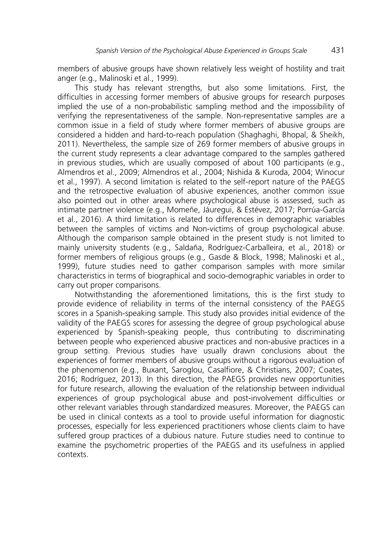members of abusive groups have shown relatively less weight of hostility and trait anger (e.g., Malinoski et al., 1999).

This study has relevant strengths, but also some limitations. First, the difficulties in accessing former members of abusive groups for research purposes implied the use of a non-probabilistic sampling method and the impossibility of verifying the representativeness of the sample. Non-representative samples are a common issue in a field of study where former members of abusive groups are considered a hidden and hard-to-reach population (Shaghaghi, Bhopal, & Sheikh, 2011). Nevertheless, the sample size of 269 former members of abusive groups in the current study represents a clear advantage compared to the samples gathered in previous studies, which are usually composed of about 100 participants (e.g., Almendros et al., 2009; Almendros et al., 2004; Nishida & Kuroda, 2004; Winocur et al., 1997). A second limitation is related to the self-report nature of the PAEGS and the retrospective evaluation of abusive experiences, another common issue also pointed out in other areas where psychological abuse is assessed, such as intimate partner violence (e.g., Momeñe, Jáuregui, & Estévez, 2017; Porrúa-García et al., 2016). A third limitation is related to differences in demographic variables between the samples of victims and Non-victims of group psychological abuse. Although the comparison sample obtained in the present study is not limited to mainly university students (e.g., Saldaña, Rodríguez-Carballeira, et al., 2018) or former members of religious groups (e.g., Gasde & Block, 1998; Malinoski et al., 1999), future studies need to gather comparison samples with more similar characteristics in terms of biographical and socio-demographic variables in order to carry out proper comparisons.

Notwithstanding the aforementioned limitations, this is the first study to provide evidence of reliability in terms of the internal consistency of the PAEGS scores in a Spanish-speaking sample. This study also provides initial evidence of the validity of the PAEGS scores for assessing the degree of group psychological abuse experienced by Spanish-speaking people, thus contributing to discriminating between people who experienced abusive practices and non-abusive practices in a group setting. Previous studies have usually drawn conclusions about the experiences of former members of abusive groups without a rigorous evaluation of the phenomenon (e.g., Buxant, Saroglou, Casalfiore, & Christians, 2007; Coates, 2016; Rodríguez, 2013). In this direction, the PAEGS provides new opportunities for future research, allowing the evaluation of the relationship between individual experiences of group psychological abuse and post-involvement difficulties or other relevant variables through standardized measures. Moreover, the PAEGS can be used in clinical contexts as a tool to provide useful information for diagnostic processes, especially for less experienced practitioners whose clients claim to have suffered group practices of a dubious nature. Future studies need to continue to examine the psychometric properties of the PAEGS and its usefulness in applied contexts.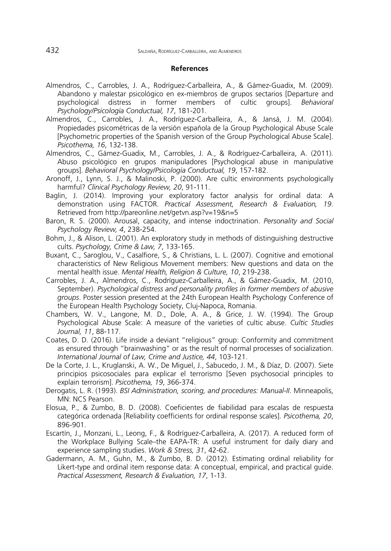#### **References**

- Almendros, C., Carrobles, J. A., Rodríguez-Carballeira, A., & Gámez-Guadix, M. (2009). Abandono y malestar psicológico en ex-miembros de grupos sectarios [Departure and psychological distress in former members of cultic groups]. *Behavioral Psychology/Psicología Conductual, 17*, 181-201.
- Almendros, C., Carrobles, J. A., Rodríguez-Carballeira, A., & Jansá, J. M. (2004). Propiedades psicométricas de la versión española de la Group Psychological Abuse Scale [Psychometric properties of the Spanish version of the Group Psychological Abuse Scale]. *Psicothema, 16*, 132-138.
- Almendros, C., Gámez-Guadix, M., Carrobles, J. A., & Rodríguez-Carballeira, A. (2011). Abuso psicológico en grupos manipuladores [Psychological abuse in manipulative groups]. *Behavioral Psychology/Psicología Conductual, 19*, 157-182.
- Aronoff, J., Lynn, S. J., & Malinoski, P. (2000). Are cultic environments psychologically harmful? *Clinical Psychology Review, 20*, 91-111.
- Baglin, J. (2014). Improving your exploratory factor analysis for ordinal data: A demonstration using FACTOR. *Practical Assessment, Research & Evaluation, 19*. Retrieved from http://pareonline.net/getvn.asp?v=19&n=5
- Baron, R. S. (2000). Arousal, capacity, and intense indoctrination. *Personality and Social Psychology Review, 4*, 238-254.
- Bohm, J., & Alison, L. (2001). An exploratory study in methods of distinguishing destructive cults. *Psychology, Crime & Law, 7*, 133-165.
- Buxant, C., Saroglou, V., Casalfiore, S., & Christians, L. L. (2007). Cognitive and emotional characteristics of New Religious Movement members: New questions and data on the mental health issue. *Mental Health, Religion & Culture, 10*, 219-238.
- Carrobles, J. A., Almendros, C., Rodríguez-Carballeira, A., & Gámez-Guadix, M. (2010, September). *Psychological distress and personality profiles in former members of abusive groups*. Poster session presented at the 24th European Health Psychology Conference of the European Health Psychology Society, Cluj-Napoca, Romania.
- Chambers, W. V., Langone, M. D., Dole, A. A., & Grice, J. W. (1994). The Group Psychological Abuse Scale: A measure of the varieties of cultic abuse. *Cultic Studies Journal, 11*, 88-117.
- Coates, D. D. (2016). Life inside a deviant "religious" group: Conformity and commitment as ensured through "brainwashing" or as the result of normal processes of socialization. *International Journal of Law, Crime and Justice, 44*, 103-121.
- De la Corte, J. L., Kruglanski, A. W., De Miguel, J., Sabucedo, J. M., & Díaz, D. (2007). Siete principios psicosociales para explicar el terrorismo [Seven psychosocial principles to explain terrorism]. *Psicothema, 19*, 366-374.
- Derogatis, L. R. (1993). *BSI Administration, scoring, and procedures: Manual-II*. Minneapolis, MN: NCS Pearson.
- Elosua, P., & Zumbo, B. D. (2008). Coeficientes de fiabilidad para escalas de respuesta categórica ordenada [Reliability coefficients for ordinal response scales]. *Psicothema, 20*, 896-901.
- Escartín, J., Monzani, L., Leong, F., & Rodríguez-Carballeira, A. (2017). A reduced form of the Workplace Bullying Scale–the EAPA-TR: A useful instrument for daily diary and experience sampling studies. *Work & Stress, 31*, 42-62.
- Gadermann, A. M., Guhn, M., & Zumbo, B. D. (2012). Estimating ordinal reliability for Likert-type and ordinal item response data: A conceptual, empirical, and practical guide. *Practical Assessment, Research & Evaluation, 17*, 1-13.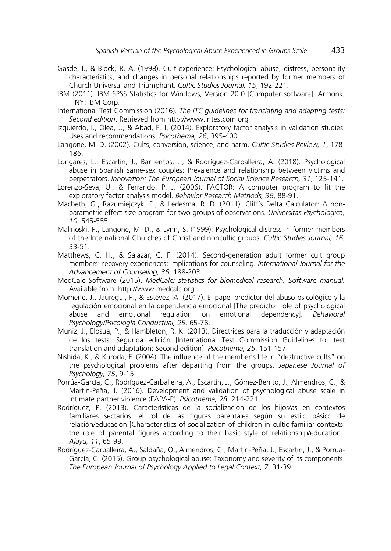- Gasde, I., & Block, R. A. (1998). Cult experience: Psychological abuse, distress, personality characteristics, and changes in personal relationships reported by former members of Church Universal and Triumphant. *Cultic Studies Journal, 15*, 192-221.
- IBM (2011). IBM SPSS Statistics for Windows, Version 20.0 [Computer software]. Armonk, NY: IBM Corp.
- International Test Commission (2016). *The ITC guidelines for translating and adapting tests: Second edition*. Retrieved from http://www.intestcom.org
- Izquierdo, I., Olea, J., & Abad, F. J. (2014). Exploratory factor analysis in validation studies: Uses and recommendations. *Psicothema, 26*, 395-400.
- Langone, M. D. (2002). Cults, conversion, science, and harm. *Cultic Studies Review, 1*, 178- 186.
- Longares, L., Escartín, J., Barrientos, J., & Rodríguez-Carballeira, A. (2018). Psychological abuse in Spanish same-sex couples: Prevalence and relationship between victims and perpetrators. *Innovation: The European Journal of Social Science Research, 31*, 125-141.
- Lorenzo-Seva, U., & Ferrando, P. J. (2006). FACTOR: A computer program to fit the exploratory factor analysis model. *Behavior Research Methods, 38*, 88-91.
- Macbeth, G., Razumiejczyk, E., & Ledesma, R. D. (2011). Cliff's Delta Calculator: A nonparametric effect size program for two groups of observations. *Universitas Psychologica, 10*, 545-555.
- Malinoski, P., Langone, M. D., & Lynn, S. (1999). Psychological distress in former members of the International Churches of Christ and noncultic groups. *Cultic Studies Journal, 16*, 33-51.
- Matthews, C. H., & Salazar, C. F. (2014). Second-generation adult former cult group members' recovery experiences: Implications for counseling. *International Journal for the Advancement of Counseling, 36*, 188-203.
- MedCalc Software (2015). *MedCalc: statistics for biomedical research. Software manual.* Available from: http://www.medcalc.org
- Momeñe, J., Jáuregui, P., & Estévez, A. (2017). El papel predictor del abuso psicológico y la regulación emocional en la dependencia emocional [The predictor role of psychological<br>abuse and emotional regulation on emotional dependencyl. *Behavioral* abuse and emotional regulation on emotional dependency]. *Psychology/Psicología Conductual, 25*, 65-78.
- Muñiz, J., Elosua, P., & Hambleton, R. K. (2013). Directrices para la traducción y adaptación de los tests: Segunda edición [International Test Commission Guidelines for test translation and adaptation: Second edition]. *Psicothema, 25*, 151-157.
- Nishida, K., & Kuroda, F. (2004). The influence of the member's life in "destructive cults" on the psychological problems after departing from the groups. *Japanese Journal of Psychology, 75*, 9-15.
- Porrúa-García, C., Rodríguez-Carballeira, A., Escartín, J., Gómez-Benito, J., Almendros, C., & Martín-Peña, J. (2016). Development and validation of psychological abuse scale in intimate partner violence (EAPA-P). *Psicothema, 28*, 214-221.
- Rodríguez, P. (2013). Características de la socialización de los hijos/as en contextos familiares sectarios: el rol de las figuras parentales según su estilo básico de relación/educación [Characteristics of socialization of children in cultic familiar contexts: the role of parental figures according to their basic style of relationship/education]. *Ajayu, 11*, 65-99.
- Rodríguez-Carballeira, A., Saldaña, O., Almendros, C., Martín-Peña, J., Escartín, J., & Porrúa-García, C. (2015). Group psychological abuse: Taxonomy and severity of its components. *The European Journal of Psychology Applied to Legal Context, 7*, 31-39.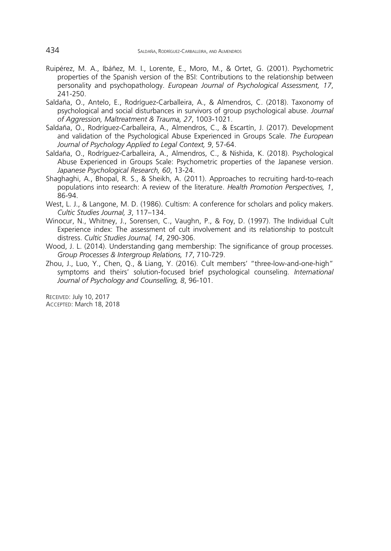- Ruipérez, M. A., Ibáñez, M. I., Lorente, E., Moro, M., & Ortet, G. (2001). Psychometric properties of the Spanish version of the BSI: Contributions to the relationship between personality and psychopathology. *European Journal of Psychological Assessment, 17*, 241-250.
- Saldaña, O., Antelo, E., Rodríguez-Carballeira, A., & Almendros, C. (2018). Taxonomy of psychological and social disturbances in survivors of group psychological abuse. *Journal of Aggression, Maltreatment & Trauma, 27*, 1003-1021.
- Saldaña, O., Rodríguez-Carballeira, A., Almendros, C., & Escartín, J. (2017). Development and validation of the Psychological Abuse Experienced in Groups Scale. *The European Journal of Psychology Applied to Legal Context, 9*, 57-64.
- Saldaña, O., Rodríguez-Carballeira, A., Almendros, C., & Nishida, K. (2018). Psychological Abuse Experienced in Groups Scale: Psychometric properties of the Japanese version. *Japanese Psychological Research, 60*, 13-24.
- Shaghaghi, A., Bhopal, R. S., & Sheikh, A. (2011). Approaches to recruiting hard-to-reach populations into research: A review of the literature. *Health Promotion Perspectives, 1*, 86-94.
- West, L. J., & Langone, M. D. (1986). Cultism: A conference for scholars and policy makers. *Cultic Studies Journal, 3*, 117–134.
- Winocur, N., Whitney, J., Sorensen, C., Vaughn, P., & Foy, D. (1997). The Individual Cult Experience index: The assessment of cult involvement and its relationship to postcult distress. *Cultic Studies Journal, 14*, 290-306.
- Wood, J. L. (2014). Understanding gang membership: The significance of group processes. *Group Processes & Intergroup Relations, 17*, 710-729.
- Zhou, J., Luo, Y., Chen, Q., & Liang, Y. (2016). Cult members' "three-low-and-one-high" symptoms and theirs' solution-focused brief psychological counseling. *International Journal of Psychology and Counselling, 8*, 96-101.

RECEIVED: July 10, 2017 ACCEPTED: March 18, 2018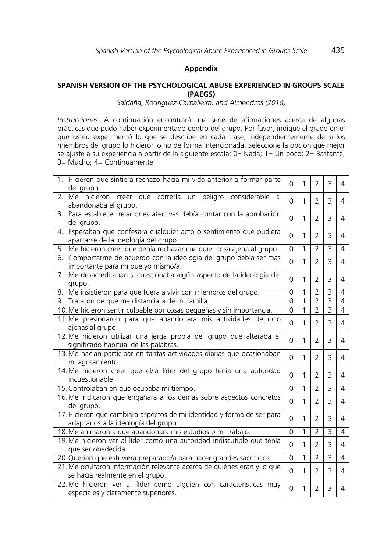#### **Appendix**

### **SPANISH VERSION OF THE PSYCHOLOGICAL ABUSE EXPERIENCED IN GROUPS SCALE (PAEGS)**

*Saldaña, Rodríguez-Carballeira, and Almendros (2018)*

*Instrucciones:* A continuación encontrará una serie de afirmaciones acerca de algunas prácticas que pudo haber experimentado dentro del grupo. Por favor, indique el grado en el que usted experimentó lo que se describe en cada frase, independientemente de si los miembros del grupo lo hicieron o no de forma intencionada. Seleccione la opción que mejor se ajuste a su experiencia a partir de la siguiente escala: 0= Nada; 1= Un poco; 2= Bastante; 3= Mucho; 4= Continuamente.

| 1. Hicieron que sintiera rechazo hacia mi vida anterior a formar parte<br>del grupo.                           |          | 1 | $\overline{2}$ | 3              | 4              |
|----------------------------------------------------------------------------------------------------------------|----------|---|----------------|----------------|----------------|
| hicieron creer que correría un peligro considerable si<br>2. Me<br>abandonaba el grupo.                        | $\Omega$ | 1 | $\overline{2}$ | 3              | 4              |
| 3. Para establecer relaciones afectivas debía contar con la aprobación<br>del grupo.                           |          | 1 | $\overline{2}$ | 3              | 4              |
| Esperaban que confesara cualquier acto o sentimiento que pudiera<br>4.<br>apartarse de la ideología del grupo. |          | 1 | $\overline{2}$ | 3              | 4              |
| Me hicieron creer que debía rechazar cualquier cosa ajena al grupo.<br>5.                                      |          | 1 | $\overline{2}$ | 3              | 4              |
| 6. Comportarme de acuerdo con la ideología del grupo debía ser más<br>importante para mí que yo mismo/a.       |          | 1 | $\overline{2}$ | 3              | 4              |
| Me desacreditaban si cuestionaba algún aspecto de la ideología del<br>7.<br>grupo.                             |          | 1 | $\overline{2}$ | 3              | 4              |
| 8. Me insistieron para que fuera a vivir con miembros del grupo.                                               | 0        | 1 | $\overline{2}$ | 3              | 4              |
| 9. Trataron de que me distanciara de mi familia.                                                               |          | 1 | $\overline{2}$ | 3              | 4              |
| 10. Me hicieron sentir culpable por cosas pequeñas y sin importancia.                                          | 0        | 1 | $\overline{2}$ | $\overline{3}$ | $\overline{4}$ |
| 11. Me presionaron para que abandonara mis actividades de ocio<br>ajenas al grupo.                             |          | 1 | $\overline{2}$ | 3              | 4              |
| 12. Me hicieron utilizar una jerga propia del grupo que alteraba el<br>significado habitual de las palabras.   |          | 1 | $\overline{2}$ | 3              | 4              |
| 13. Me hacían participar en tantas actividades diarias que ocasionaban<br>mi agotamiento.                      |          | 1 | $\overline{2}$ | 3              | 4              |
| 14. Me hicieron creer que el/la líder del grupo tenía una autoridad<br>incuestionable.                         |          | 1 | $\overline{2}$ | 3              | 4              |
| 15. Controlaban en qué ocupaba mi tiempo.                                                                      |          | 1 | $\overline{2}$ | $\overline{3}$ | $\overline{4}$ |
| 16. Me indicaron que engañara a los demás sobre aspectos concretos<br>del grupo.                               |          | 1 | $\overline{2}$ | 3              | 4              |
| 17. Hicieron que cambiara aspectos de mi identidad y forma de ser para<br>adaptarlos a la ideología del grupo. | 0        | 1 | $\overline{2}$ | 3              | 4              |
| 18. Me animaron a que abandonara mis estudios o mi trabajo.                                                    |          | 1 | $\overline{2}$ | 3              | 4              |
| 19. Me hicieron ver al líder como una autoridad indiscutible que tenía<br>que ser obedecida.                   |          | 1 | $\overline{2}$ | 3              | 4              |
| 20. Querían que estuviera preparado/a para hacer grandes sacrificios.                                          |          | 1 | $\overline{2}$ | 3              | 4              |
| 21. Me ocultaron información relevante acerca de quiénes eran y lo que<br>se hacía realmente en el grupo.      |          | 1 | $\overline{2}$ | 3              | 4              |
| 22. Me hicieron ver al líder como alguien con características muy<br>especiales y claramente superiores.       | $\Omega$ | 1 | 2              | 3              | 4              |